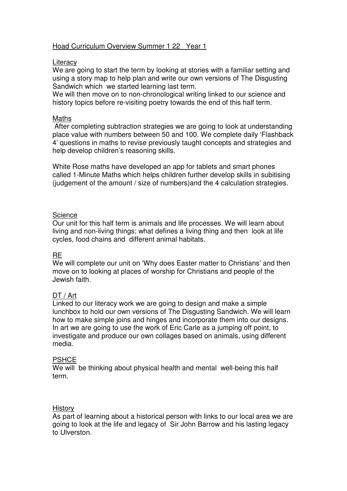## Hoad Curriculum Overview Summer 1 22 Year 1

#### **Literacy**

We are going to start the term by looking at stories with a familiar setting and using a story map to help plan and write our own versions of The Disgusting Sandwich which we started learning last term.

We will then move on to non-chronological writing linked to our science and history topics before re-visiting poetry towards the end of this half term.

#### **Maths**

 After completing subtraction strategies we are going to look at understanding place value with numbers between 50 and 100. We complete daily 'Flashback 4' questions in maths to revise previously taught concepts and strategies and help develop children's reasoning skills.

White Rose maths have developed an app for tablets and smart phones called 1-Minute Maths which helps children further develop skills in subitising (judgement of the amount / size of numbers)and the 4 calculation strategies.

### **Science**

Our unit for this half term is animals and life processes. We will learn about living and non-living things; what defines a living thing and then look at life cycles, food chains and different animal habitats.

## **RE**

We will complete our unit on 'Why does Easter matter to Christians' and then move on to looking at places of worship for Christians and people of the Jewish faith.

#### DT / Art

Linked to our literacy work we are going to design and make a simple lunchbox to hold our own versions of The Disgusting Sandwich. We will learn how to make simple joins and hinges and incorporate them into our designs. In art we are going to use the work of Eric Carle as a jumping off point, to investigate and produce our own collages based on animals, using different media.

#### **PSHCE**

We will be thinking about physical health and mental well-being this half term.

#### **History**

As part of learning about a historical person with links to our local area we are going to look at the life and legacy of Sir John Barrow and his lasting legacy to Ulverston